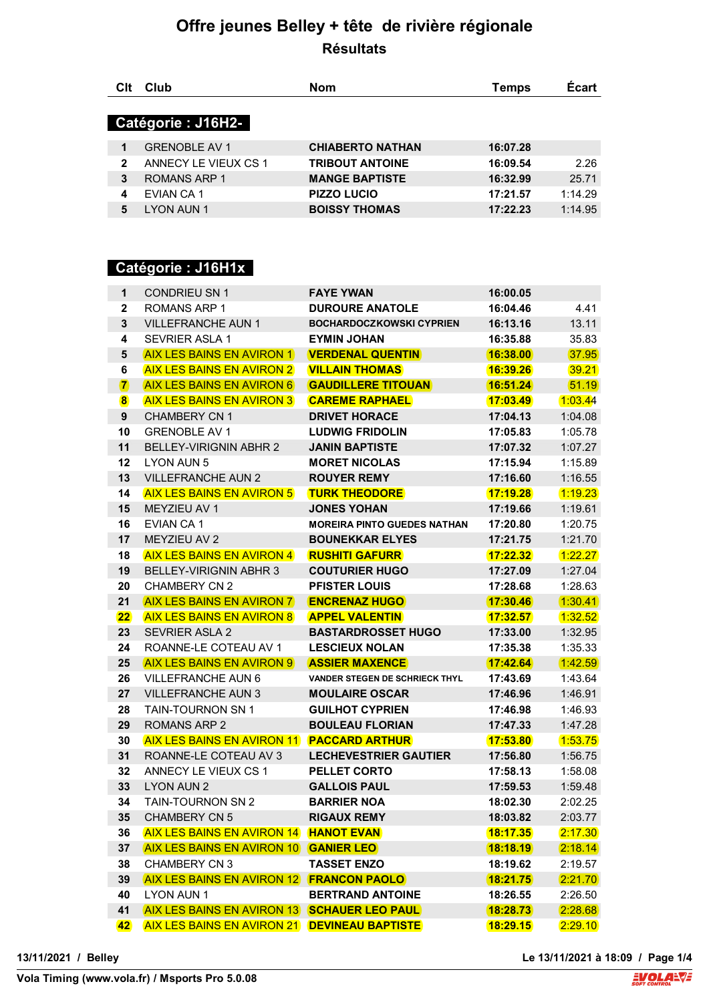### **Offre jeunes Belley + tête de rivière régionale Résultats**

| Clt | Club                 | <b>Nom</b>              | Temps    | <b>Ecart</b> |
|-----|----------------------|-------------------------|----------|--------------|
|     |                      |                         |          |              |
|     | Catégorie: J16H2-    |                         |          |              |
|     | <b>GRENOBLE AV 1</b> | <b>CHIABERTO NATHAN</b> | 16:07.28 |              |
| 2   | ANNECY LE VIEUX CS 1 | <b>TRIBOUT ANTOINE</b>  | 16:09.54 | 2.26         |
| 3   | ROMANS ARP 1         | <b>MANGE BAPTISTE</b>   | 16:32.99 | 25.71        |
| 4   | EVIAN CA 1           | <b>PIZZO LUCIO</b>      | 17:21.57 | 1:14.29      |
| 5   | LYON AUN 1           | <b>BOISSY THOMAS</b>    | 17:22.23 | 1:14.95      |
|     |                      |                         |          |              |

### **Catégorie : J16H1x**

| $\mathbf 1$             | <b>CONDRIEU SN 1</b>                     | <b>FAYE YWAN</b>                      | 16:00.05        |           |
|-------------------------|------------------------------------------|---------------------------------------|-----------------|-----------|
| $\mathbf{2}$            | <b>ROMANS ARP 1</b>                      | <b>DUROURE ANATOLE</b>                | 16:04.46        | 4.41      |
| $\overline{\mathbf{3}}$ | <b>VILLEFRANCHE AUN 1</b>                | <b>BOCHARDOCZKOWSKI CYPRIEN</b>       | 16:13.16        | 13.11     |
| 4                       | <b>SEVRIER ASLA 1</b>                    | <b>EYMIN JOHAN</b>                    | 16:35.88        | 35.83     |
| 5                       | <b>AIX LES BAINS EN AVIRON 1</b>         | <b>VERDENAL QUENTIN</b>               | (16:38.00)      | (37.95)   |
| 6                       | <b>AIX LES BAINS EN AVIRON 2</b>         | <b>VILLAIN THOMAS</b>                 | 16:39.26        | 39.21     |
| $\mathbf{7}$            | <b>AIX LES BAINS EN AVIRON 6</b>         | <b>GAUDILLERE TITOUAN</b>             | (16:51.24)      | (51.19)   |
| $\bf{8}$                | <b>AIX LES BAINS EN AVIRON 3</b>         | <b>CAREME RAPHAEL</b>                 | 17:03.49        | 1:03.44   |
| 9                       | <b>CHAMBERY CN1</b>                      | <b>DRIVET HORACE</b>                  | 17:04.13        | 1:04.08   |
| 10                      | <b>GRENOBLE AV 1</b>                     | <b>LUDWIG FRIDOLIN</b>                | 17:05.83        | 1:05.78   |
| 11                      | <b>BELLEY-VIRIGNIN ABHR 2</b>            | <b>JANIN BAPTISTE</b>                 | 17:07.32        | 1:07.27   |
| 12                      | LYON AUN 5                               | <b>MORET NICOLAS</b>                  | 17:15.94        | 1:15.89   |
| 13                      | <b>VILLEFRANCHE AUN 2</b>                | <b>ROUYER REMY</b>                    | 17:16.60        | 1:16.55   |
| 14                      | <b>AIX LES BAINS EN AVIRON 5</b>         | <b>TURK THEODORE</b>                  | 17:19.28        | 1:19.23   |
| 15                      | MEYZIEU AV 1                             | <b>JONES YOHAN</b>                    | 17:19.66        | 1:19.61   |
| 16                      | EVIAN CA 1                               | <b>MOREIRA PINTO GUEDES NATHAN</b>    | 17:20.80        | 1:20.75   |
| 17                      | MEYZIEU AV 2                             | <b>BOUNEKKAR ELYES</b>                | 17:21.75        | 1:21.70   |
| 18                      | <b>AIX LES BAINS EN AVIRON 4</b>         | <b>RUSHITI GAFURR</b>                 | 17:22.32        | 1:22.27   |
| 19                      | <b>BELLEY-VIRIGNIN ABHR 3</b>            | <b>COUTURIER HUGO</b>                 | 17:27.09        | 1:27.04   |
| 20                      | <b>CHAMBERY CN 2</b>                     | <b>PFISTER LOUIS</b>                  | 17:28.68        | 1:28.63   |
| 21                      | <b>AIX LES BAINS EN AVIRON 7</b>         | <b>ENCRENAZ HUGO</b>                  | (17:30.46)      | (1:30.41) |
| 22                      | <b>AIX LES BAINS EN AVIRON 8</b>         | <b>APPEL VALENTIN</b>                 | 17:32.57        | 1:32.52   |
| 23                      | <b>SEVRIER ASLA 2</b>                    | <b>BASTARDROSSET HUGO</b>             | 17:33.00        | 1:32.95   |
| 24                      | ROANNE-LE COTEAU AV 1                    | <b>LESCIEUX NOLAN</b>                 | 17:35.38        | 1:35.33   |
| 25                      | <b>AIX LES BAINS EN AVIRON 9</b>         | <b>ASSIER MAXENCE</b>                 | (17:42.64)      | 1:42.59   |
| 26                      | <b>VILLEFRANCHE AUN 6</b>                | <b>VANDER STEGEN DE SCHRIECK THYL</b> | 17:43.69        | 1:43.64   |
| 27                      | <b>VILLEFRANCHE AUN 3</b>                | <b>MOULAIRE OSCAR</b>                 | 17:46.96        | 1:46.91   |
| 28                      | <b>TAIN-TOURNON SN 1</b>                 | <b>GUILHOT CYPRIEN</b>                | 17:46.98        | 1:46.93   |
| 29                      | <b>ROMANS ARP 2</b>                      | <b>BOULEAU FLORIAN</b>                | 17:47.33        | 1:47.28   |
| 30                      | <b>AIX LES BAINS EN AVIRON 11</b>        | <b>PACCARD ARTHUR</b>                 | 17:53.80        | 1:53.75   |
| 31                      | ROANNE-LE COTEAU AV 3                    | <b>LECHEVESTRIER GAUTIER</b>          | 17:56.80        | 1:56.75   |
| 32                      | ANNECY LE VIEUX CS 1                     | <b>PELLET CORTO</b>                   | 17:58.13        | 1:58.08   |
| 33                      | <b>LYON AUN 2</b>                        | <b>GALLOIS PAUL</b>                   | 17:59.53        | 1:59.48   |
| 34                      | TAIN-TOURNON SN 2                        | <b>BARRIER NOA</b>                    | 18:02.30        | 2:02.25   |
| 35                      | <b>CHAMBERY CN 5</b>                     | <b>RIGAUX REMY</b>                    | 18:03.82        | 2:03.77   |
| 36                      | <b>AIX LES BAINS EN AVIRON 14</b>        | <b>HANOT EVAN</b>                     | <b>18:17.35</b> | 2:17.30   |
| 37                      | AIX LES BAINS EN AVIRON 10 GANIER LEO    |                                       | (18:18.19)      | (2:18.14) |
| 38                      | <b>CHAMBERY CN 3</b>                     | <b>TASSET ENZO</b>                    | 18:19.62        | 2:19.57   |
| 39                      | AIX LES BAINS EN AVIRON 12 FRANCON PAOLO |                                       | 18:21.75        | 2:21.70   |
| 40                      | LYON AUN 1                               | <b>BERTRAND ANTOINE</b>               | 18:26.55        | 2:26.50   |
| 41                      | <b>AIX LES BAINS EN AVIRON 13</b>        | <b>SCHAUER LEO PAUL</b>               | 18:28.73        | 2:28.68   |
| 42                      | <b>AIX LES BAINS EN AVIRON 21</b>        | <b>DEVINEAU BAPTISTE</b>              | <b>18:29.15</b> | 2:29.10   |

**13/11/2021 / Belley Le 13/11/2021 à 18:09 / Page 1/4**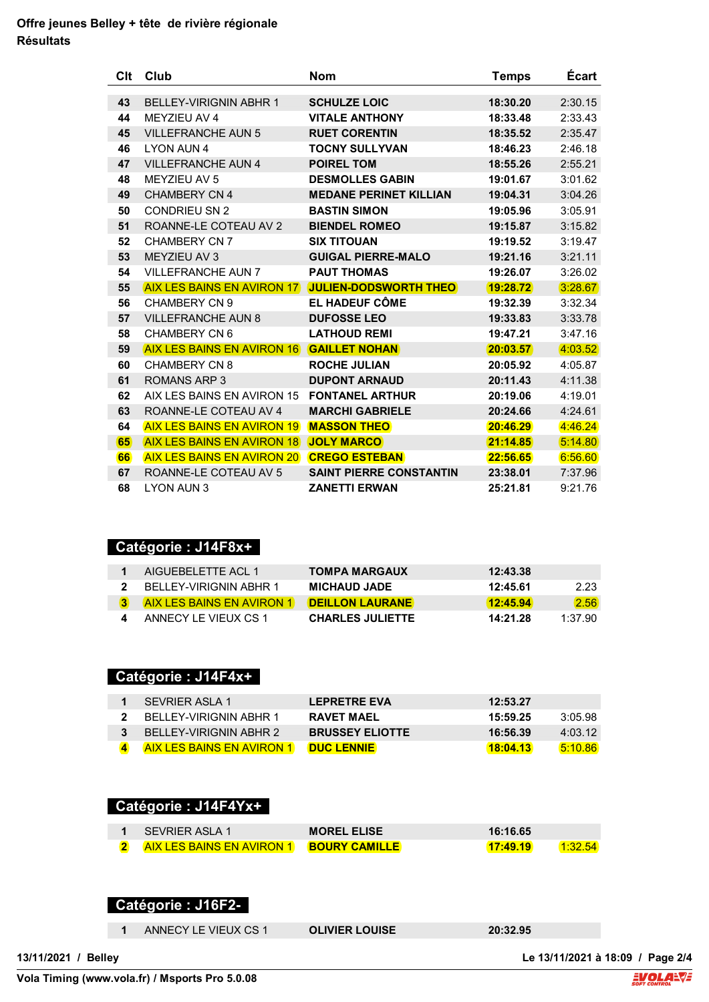#### **Offre jeunes Belley + tête de rivière régionale Résultats**

| Clt | Club                              | <b>Nom</b>                     | <b>Temps</b> | <b>Ecart</b> |
|-----|-----------------------------------|--------------------------------|--------------|--------------|
| 43  | <b>BELLEY-VIRIGNIN ABHR 1</b>     | <b>SCHULZE LOIC</b>            | 18:30.20     | 2:30.15      |
| 44  | <b>MEYZIEU AV 4</b>               | <b>VITALE ANTHONY</b>          | 18:33.48     | 2:33.43      |
| 45  | <b>VILLEFRANCHE AUN 5</b>         | <b>RUET CORENTIN</b>           | 18:35.52     | 2:35.47      |
| 46  | <b>LYON AUN 4</b>                 | <b>TOCNY SULLYVAN</b>          | 18:46.23     | 2:46.18      |
| 47  | <b>VILLEFRANCHE AUN 4</b>         | <b>POIREL TOM</b>              | 18:55.26     | 2:55.21      |
| 48  | <b>MEYZIEU AV 5</b>               | <b>DESMOLLES GABIN</b>         | 19:01.67     | 3:01.62      |
| 49  | <b>CHAMBERY CN 4</b>              | <b>MEDANE PERINET KILLIAN</b>  | 19:04.31     | 3:04.26      |
| 50  | <b>CONDRIEU SN 2</b>              | <b>BASTIN SIMON</b>            | 19:05.96     | 3:05.91      |
| 51  | ROANNE-LE COTEAU AV 2             | <b>BIENDEL ROMEO</b>           | 19:15.87     | 3:15.82      |
| 52  | CHAMBERY CN 7                     | <b>SIX TITOUAN</b>             | 19:19.52     | 3:19.47      |
| 53  | <b>MEYZIEU AV 3</b>               | <b>GUIGAL PIERRE-MALO</b>      | 19:21.16     | 3:21.11      |
| 54  | <b>VILLEFRANCHE AUN 7</b>         | <b>PAUT THOMAS</b>             | 19:26.07     | 3:26.02      |
| 55  | <b>AIX LES BAINS EN AVIRON 17</b> | <b>JULIEN-DODSWORTH THEO</b>   | 19:28.72     | 3:28.67      |
| 56  | <b>CHAMBERY CN 9</b>              | EL HADEUF CÔME                 | 19:32.39     | 3:32.34      |
| 57  | <b>VILLEFRANCHE AUN 8</b>         | <b>DUFOSSE LEO</b>             | 19:33.83     | 3:33.78      |
| 58  | CHAMBERY CN 6                     | <b>LATHOUD REMI</b>            | 19:47.21     | 3:47.16      |
| 59  | <b>AIX LES BAINS EN AVIRON 16</b> | <b>GAILLET NOHAN</b>           | 20:03.57     | 4:03.52      |
| 60  | <b>CHAMBERY CN 8</b>              | <b>ROCHE JULIAN</b>            | 20:05.92     | 4:05.87      |
| 61  | <b>ROMANS ARP 3</b>               | <b>DUPONT ARNAUD</b>           | 20:11.43     | 4:11.38      |
| 62  | AIX I FS BAINS FN AVIRON 15       | <b>FONTANEL ARTHUR</b>         | 20:19.06     | 4:19.01      |
| 63  | ROANNE-LE COTEAU AV 4             | <b>MARCHI GABRIELE</b>         | 20:24.66     | 4:24.61      |
| 64  | <b>AIX LES BAINS EN AVIRON 19</b> | <b>MASSON THEO</b>             | 20:46.29     | 4:46.24      |
| 65  | <b>AIX LES BAINS EN AVIRON 18</b> | <b>JOLY MARCO</b>              | 21:14.85     | 5:14.80      |
| 66  | <b>AIX LES BAINS EN AVIRON 20</b> | <b>CREGO ESTEBAN</b>           | 22:56.65     | 6:56.60      |
| 67  | ROANNE-LE COTEAU AV 5             | <b>SAINT PIERRE CONSTANTIN</b> | 23:38.01     | 7:37.96      |
| 68  | <b>LYON AUN 3</b>                 | <b>ZANETTI ERWAN</b>           | 25:21.81     | 9:21.76      |

### **Catégorie : J14F8x+**

| AIGUEBELETTE ACL 1               | <b>TOMPA MARGAUX</b>    | 12:43.38 |         |
|----------------------------------|-------------------------|----------|---------|
| BELLEY-VIRIGNIN ABHR 1           | <b>MICHAUD JADE</b>     | 12:45.61 | 2.23    |
| <b>AIX LES BAINS EN AVIRON 1</b> | DEILLON LAURANE         | 12:45.94 | 2.56    |
| ANNECY LE VIEUX CS 1             | <b>CHARLES JULIETTE</b> | 14:21.28 | 1:37.90 |

#### **Catégorie : J14F4x+**

| SFVRIFR ASI A 1                  | <b>LEPRETRE EVA</b>    | 12:53.27 |         |
|----------------------------------|------------------------|----------|---------|
| BELLEY-VIRIGNIN ABHR 1           | RAVET MAFI             | 15:59.25 | 3.0598  |
| BELLEY-VIRIGNIN ABHR 2           | <b>BRUSSEY ELIOTTE</b> | 16:56.39 | 4:03.12 |
| <b>AIX LES BAINS EN AVIRON 1</b> | <b>DUCLENNIE</b>       | 18:04.13 | 5.1086  |

#### **Catégorie : J14F4Yx+**

| SEVRIER ASI A 1           | <b>MOREL ELISE</b>   | 16:16.65 |  |
|---------------------------|----------------------|----------|--|
| AIX LES BAINS EN AVIRON 1 | <b>BOURY CAMILLE</b> |          |  |

### **Catégorie : J16F2-**

ANNECY LE VIEUX CS 1 **OLIVIER LOUISE 20:32.95**

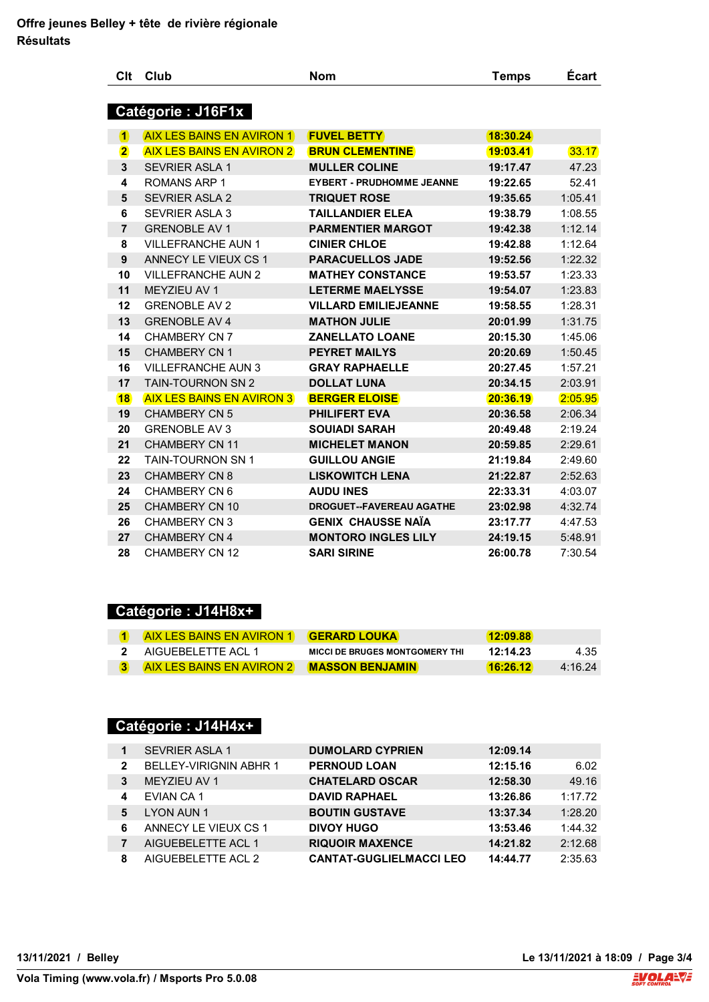| Clt                     | Club                             | <b>Nom</b>                       | <b>Temps</b> | Écart   |
|-------------------------|----------------------------------|----------------------------------|--------------|---------|
|                         |                                  |                                  |              |         |
|                         | <b>Catégorie: J16F1x</b>         |                                  |              |         |
| $\overline{\mathbf{1}}$ | <b>AIX LES BAINS EN AVIRON 1</b> | <b>FUVEL BETTY</b>               | 18:30.24     |         |
| $\overline{\mathbf{2}}$ | <b>AIX LES BAINS EN AVIRON 2</b> | <b>BRUN CLEMENTINE</b>           | 19:03.41     | 33.17   |
| 3                       | <b>SEVRIER ASLA 1</b>            | <b>MULLER COLINE</b>             | 19:17.47     | 47.23   |
| 4                       | <b>ROMANS ARP 1</b>              | <b>EYBERT - PRUDHOMME JEANNE</b> | 19:22.65     | 52.41   |
| 5                       | <b>SEVRIER ASLA 2</b>            | <b>TRIQUET ROSE</b>              | 19:35.65     | 1:05.41 |
| 6                       | <b>SEVRIER ASLA 3</b>            | <b>TAILLANDIER ELEA</b>          | 19:38.79     | 1:08.55 |
| $\overline{7}$          | <b>GRENOBLE AV 1</b>             | <b>PARMENTIER MARGOT</b>         | 19:42.38     | 1:12.14 |
| 8                       | <b>VILLEFRANCHE AUN 1</b>        | <b>CINIER CHLOE</b>              | 19:42.88     | 1:12.64 |
| 9                       | ANNECY LE VIEUX CS 1             | <b>PARACUELLOS JADE</b>          | 19:52.56     | 1:22.32 |
| 10                      | <b>VILLEFRANCHE AUN 2</b>        | <b>MATHEY CONSTANCE</b>          | 19:53.57     | 1:23.33 |
| 11                      | MEYZIEU AV 1                     | <b>LETERME MAELYSSE</b>          | 19:54.07     | 1:23.83 |
| 12                      | <b>GRENOBLE AV 2</b>             | <b>VILLARD EMILIEJEANNE</b>      | 19:58.55     | 1:28.31 |
| 13                      | <b>GRENOBLE AV 4</b>             | <b>MATHON JULIE</b>              | 20:01.99     | 1:31.75 |
| 14                      | <b>CHAMBERY CN 7</b>             | <b>ZANELLATO LOANE</b>           | 20:15.30     | 1:45.06 |
| 15                      | <b>CHAMBERY CN 1</b>             | <b>PEYRET MAILYS</b>             | 20:20.69     | 1:50.45 |
| 16                      | <b>VILLEFRANCHE AUN 3</b>        | <b>GRAY RAPHAELLE</b>            | 20:27.45     | 1:57.21 |
| 17                      | <b>TAIN-TOURNON SN 2</b>         | <b>DOLLAT LUNA</b>               | 20:34.15     | 2:03.91 |
| 18                      | <b>AIX LES BAINS EN AVIRON 3</b> | <b>BERGER ELOISE</b>             | 20:36.19     | 2:05.95 |
| 19                      | <b>CHAMBERY CN 5</b>             | <b>PHILIFERT EVA</b>             | 20:36.58     | 2:06.34 |
| 20                      | <b>GRENOBLE AV 3</b>             | <b>SOUIADI SARAH</b>             | 20:49.48     | 2:19.24 |
| 21                      | <b>CHAMBERY CN 11</b>            | <b>MICHELET MANON</b>            | 20:59.85     | 2:29.61 |
| 22                      | TAIN-TOURNON SN 1                | <b>GUILLOU ANGIE</b>             | 21:19.84     | 2:49.60 |
| 23                      | <b>CHAMBERY CN 8</b>             | <b>LISKOWITCH LENA</b>           | 21:22.87     | 2:52.63 |
| 24                      | CHAMBERY CN 6                    | <b>AUDU INES</b>                 | 22:33.31     | 4:03.07 |
| 25                      | <b>CHAMBERY CN 10</b>            | <b>DROGUET--FAVEREAU AGATHE</b>  | 23:02.98     | 4:32.74 |
| 26                      | <b>CHAMBERY CN 3</b>             | <b>GENIX CHAUSSE NAÏA</b>        | 23:17.77     | 4:47.53 |
| 27                      | <b>CHAMBERY CN 4</b>             | <b>MONTORO INGLES LILY</b>       | 24:19.15     | 5:48.91 |
| 28                      | <b>CHAMBERY CN 12</b>            | <b>SARI SIRINE</b>               | 26:00.78     | 7:30.54 |

# **Catégorie : J14H8x+**

| <b>AIX LES BAINS EN AVIRON 1 GERARD LOUKA</b>    |                                       | (12:09.88) |          |
|--------------------------------------------------|---------------------------------------|------------|----------|
| AIGUEBELETTE ACL 1                               | <b>MICCI DE BRUGES MONTGOMERY THI</b> | 12:14.23   | 4.35     |
| <b>AIX LES BAINS EN AVIRON 2 MASSON BENJAMIN</b> |                                       | 16:26.12   | 4.16, 24 |

# **Catégorie : J14H4x+**

|              | <b>SEVRIER ASLA 1</b>  | <b>DUMOLARD CYPRIEN</b>        | 12:09.14 |         |
|--------------|------------------------|--------------------------------|----------|---------|
| $\mathbf{2}$ | BELLEY-VIRIGNIN ABHR 1 | <b>PERNOUD LOAN</b>            | 12:15.16 | 6.02    |
| 3            | MEYZIEU AV 1           | <b>CHATELARD OSCAR</b>         | 12:58.30 | 49.16   |
| 4            | EVIAN CA 1             | <b>DAVID RAPHAEL</b>           | 13:26.86 | 1:17.72 |
| 5            | <b>LYON AUN 1</b>      | <b>BOUTIN GUSTAVE</b>          | 13:37.34 | 1:28.20 |
| 6            | ANNECY LE VIEUX CS 1   | <b>DIVOY HUGO</b>              | 13:53.46 | 1:44.32 |
|              | AIGUEBELETTE ACL 1     | <b>RIQUOIR MAXENCE</b>         | 14:21.82 | 2:12.68 |
| 8            | AIGUEBELETTE ACL 2     | <b>CANTAT-GUGLIELMACCI LEO</b> | 14:44.77 | 2:35.63 |

**13/11/2021 / Belley Le 13/11/2021 à 18:09 / Page 3/4**



I